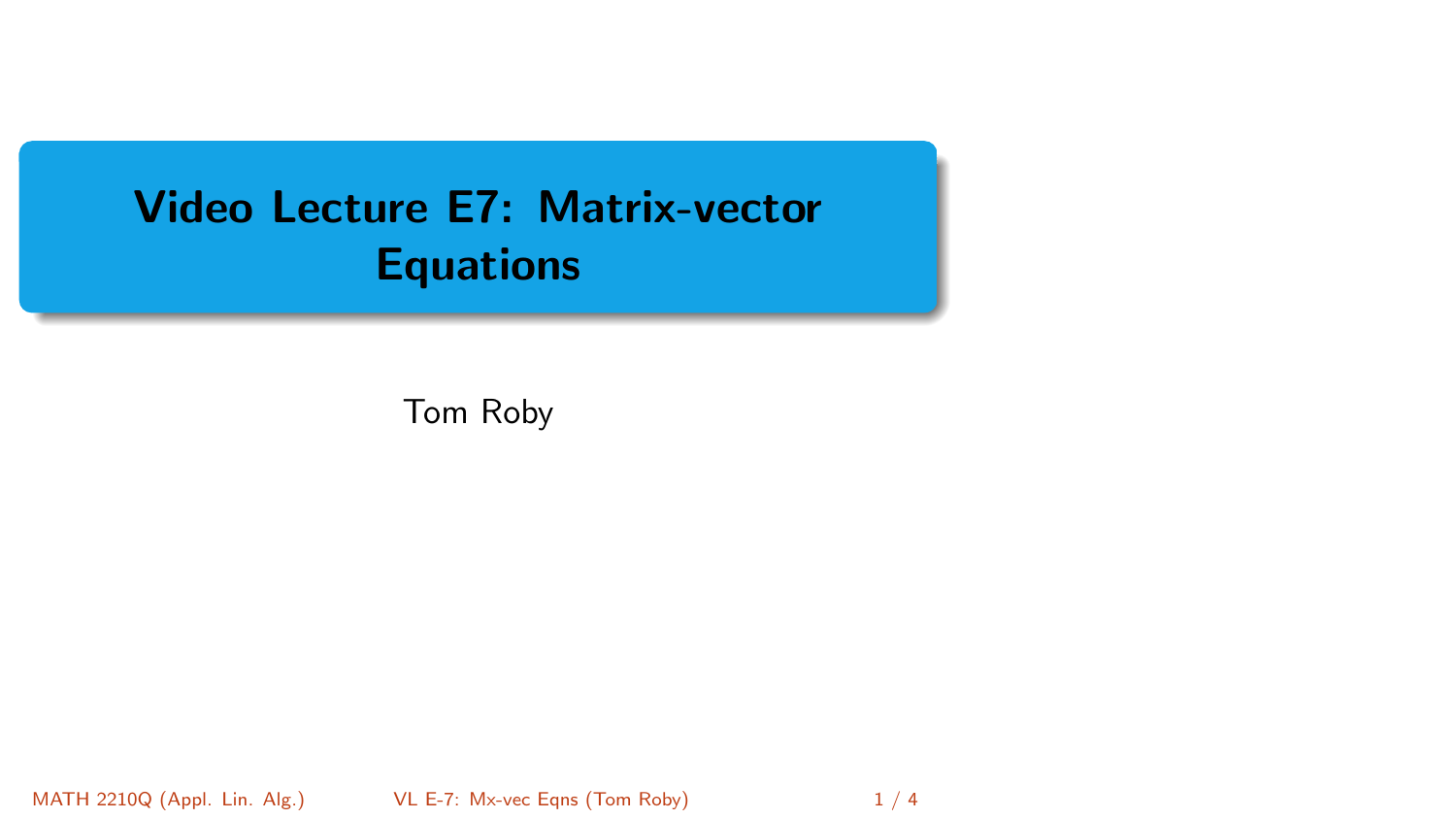# <span id="page-0-0"></span>Video Lecture E7: Matrix-vector **Equations**

Tom Roby

MATH 2210Q (Appl. Lin. Alg.) [VL E-7: Mx-vec Eqns](#page-3-0) (Tom Roby) 1/4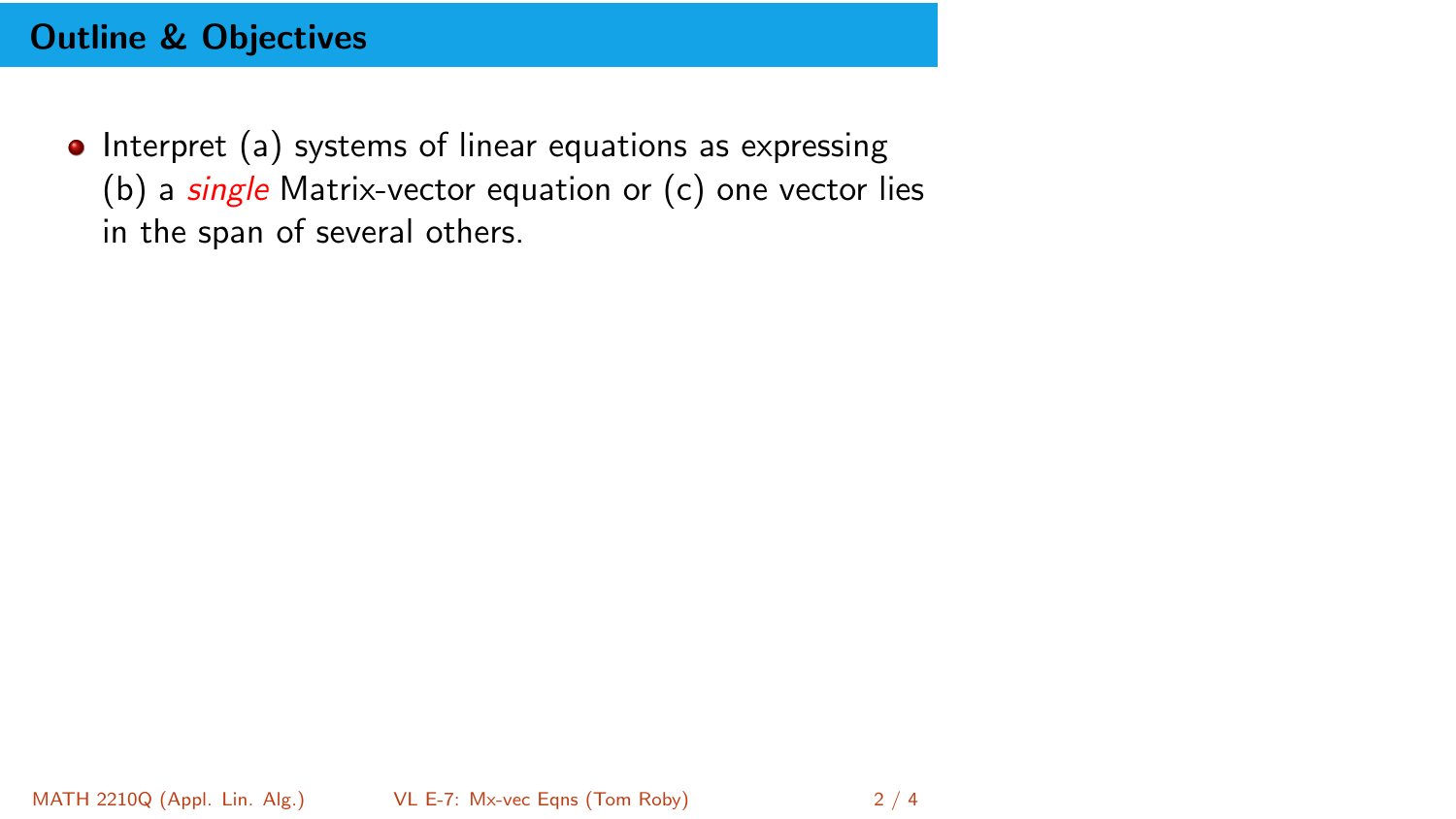## Outline & Objectives

• Interpret (a) systems of linear equations as expressing (b) a  $\frac{single}{s}$  Matrix-vector equation or  $(c)$  one vector lies in the span of several others.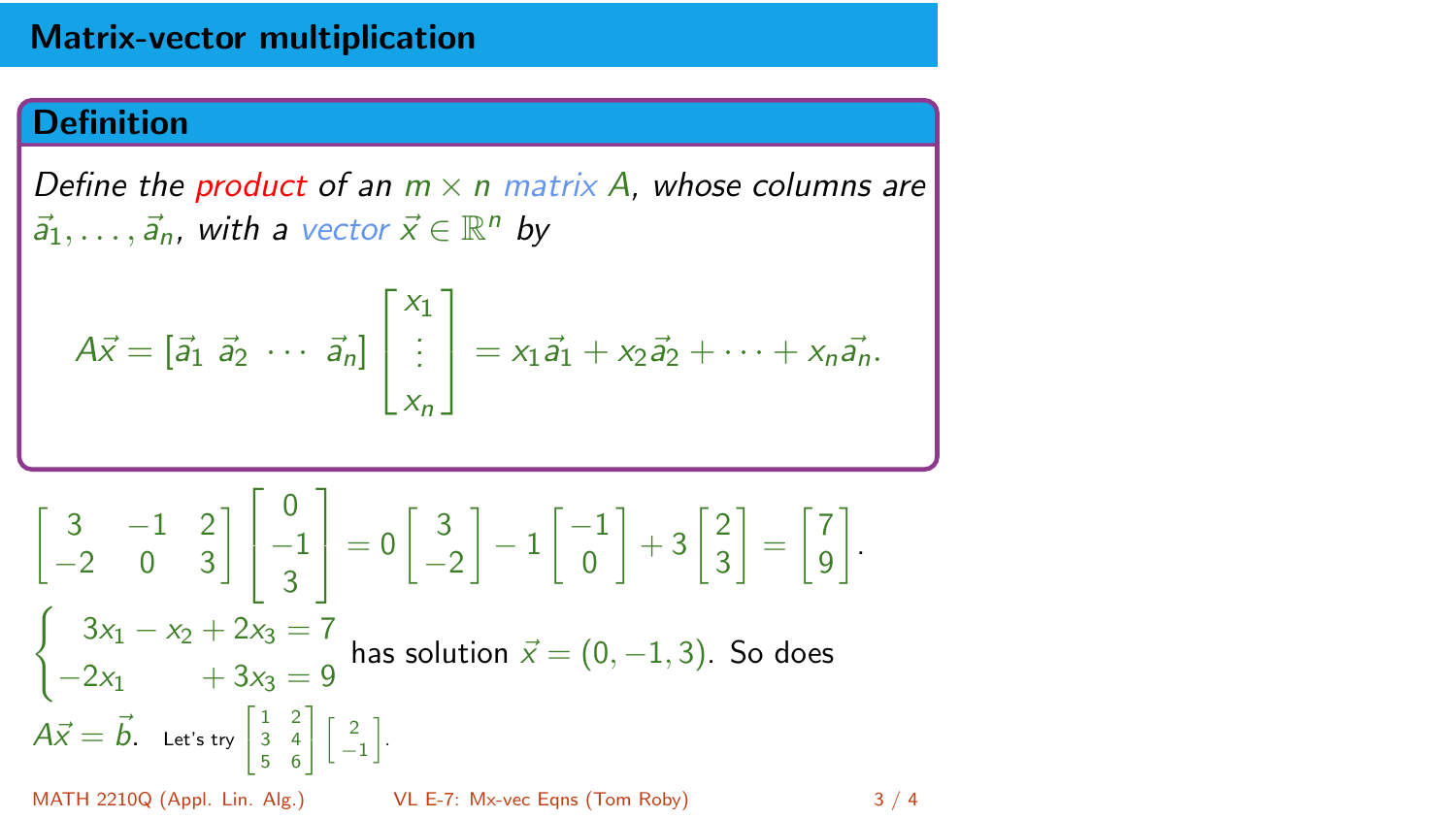#### Matrix-vector multiplication

### **Definition**

Define the product of an  $m \times n$  matrix A, whose columns are  $\vec{a}_1, \ldots, \vec{a}_n$ , with a vector  $\vec{x} \in \mathbb{R}^n$  by

$$
A\vec{x} = \begin{bmatrix} \vec{a}_1 & \vec{a}_2 & \cdots & \vec{a}_n \end{bmatrix} \begin{bmatrix} x_1 \\ \vdots \\ x_n \end{bmatrix} = x_1 \vec{a}_1 + x_2 \vec{a}_2 + \cdots + x_n \vec{a}_n.
$$

$$
\begin{bmatrix} 3 & -1 & 2 \ -2 & 0 & 3 \end{bmatrix} \begin{bmatrix} 0 \ -1 \ 3 \end{bmatrix} = 0 \begin{bmatrix} 3 \ -2 \end{bmatrix} - 1 \begin{bmatrix} -1 \ 0 \end{bmatrix} + 3 \begin{bmatrix} 2 \ 3 \end{bmatrix} = \begin{bmatrix} 7 \ 9 \end{bmatrix}.
$$
  

$$
\begin{cases} 3x_1 - x_2 + 2x_3 = 7 \\ -2x_1 + 3x_3 = 9 \end{cases}
$$
 has solution  $\vec{x} = (0, -1, 3)$ . So does  
 $A\vec{x} = \vec{b}$ . Let's try  $\begin{bmatrix} 1 & 2 \\ 3 & 4 \\ 5 & 6 \end{bmatrix} \begin{bmatrix} 2 \\ -1 \end{bmatrix}$ .